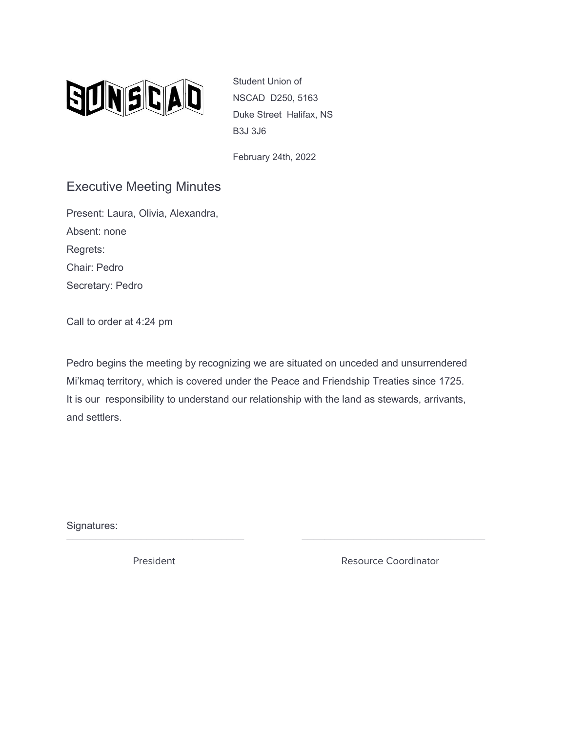

Student Union of NSCAD D250, 5163 Duke Street Halifax, NS B3J 3J6

February 24th, 2022

## Executive Meeting Minutes

Present: Laura, Olivia, Alexandra, Absent: none Regrets: Chair: Pedro Secretary: Pedro

Call to order at 4:24 pm

Pedro begins the meeting by recognizing we are situated on unceded and unsurrendered Mi'kmaq territory, which is covered under the Peace and Friendship Treaties since 1725. It is our responsibility to understand our relationship with the land as stewards, arrivants, and settlers.

\_\_\_\_\_\_\_\_\_\_\_\_\_\_\_\_\_\_\_\_\_\_\_\_\_\_\_\_\_\_\_ \_\_\_\_\_\_\_\_\_\_\_\_\_\_\_\_\_\_\_\_\_\_\_\_\_\_\_\_\_\_\_\_

Signatures:

President **Resource Coordinator** Resource Coordinator